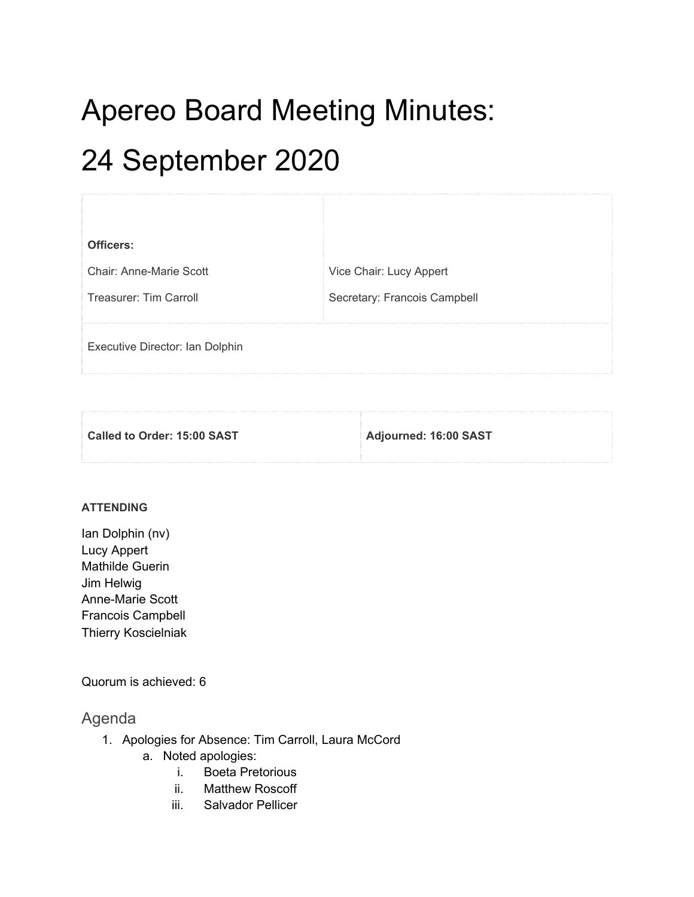# Apereo Board Meeting Minutes: 24 September 2020

| Officers:                       |                              |
|---------------------------------|------------------------------|
| Chair: Anne-Marie Scott         | Vice Chair: Lucy Appert      |
| Treasurer: Tim Carroll          | Secretary: Francois Campbell |
|                                 |                              |
| Executive Director: Ian Dolphin |                              |

**Called to Order: 15:00 SAST Adjourned: 16:00 SAST**

## **ATTENDING**

Ian Dolphin (nv) Lucy Appert Mathilde Guerin Jim Helwig Anne-Marie Scott Francois Campbell Thierry Koscielniak

Quorum is achieved: 6

# Agenda

- 1. Apologies for Absence: Tim Carroll, Laura McCord
	- a. Noted apologies:
		- i. Boeta Pretorious
		- ii. Matthew Roscoff
		- iii. Salvador Pellicer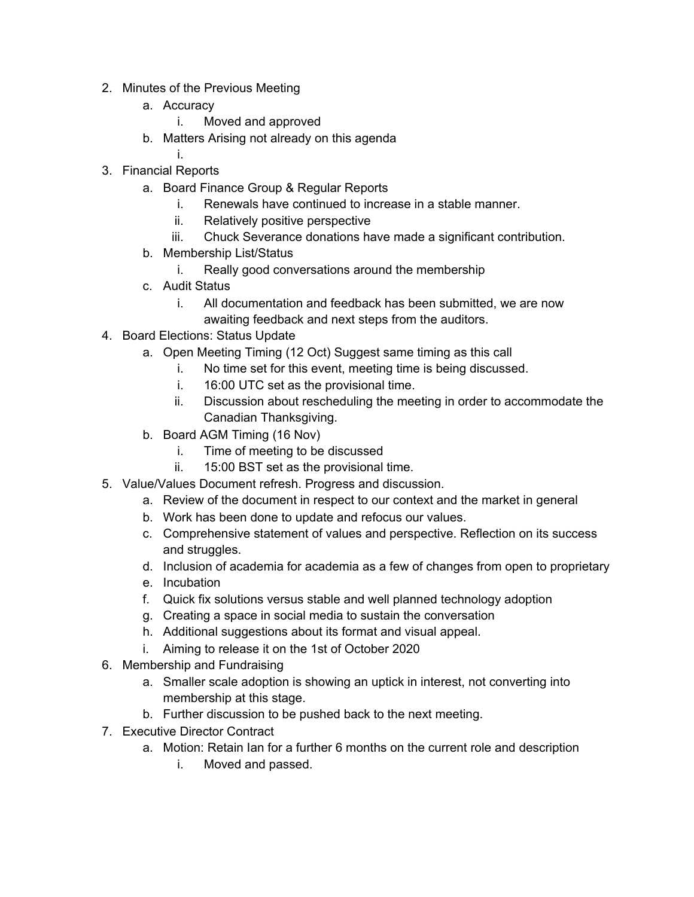- 2. Minutes of the Previous Meeting
	- a. Accuracy
		- i. Moved and approved
	- b. Matters Arising not already on this agenda
		- i.
- 3. Financial Reports
	- a. Board Finance Group & Regular Reports
		- i. Renewals have continued to increase in a stable manner.
		- ii. Relatively positive perspective
		- iii. Chuck Severance donations have made a significant contribution.
	- b. Membership List/Status
		- i. Really good conversations around the membership
	- c. Audit Status
		- i. All documentation and feedback has been submitted, we are now awaiting feedback and next steps from the auditors.
- 4. Board Elections: Status Update
	- a. Open Meeting Timing (12 Oct) Suggest same timing as this call
		- i. No time set for this event, meeting time is being discussed.
		- i. 16:00 UTC set as the provisional time.
		- ii. Discussion about rescheduling the meeting in order to accommodate the Canadian Thanksgiving.
	- b. Board AGM Timing (16 Nov)
		- i. Time of meeting to be discussed
		- ii. 15:00 BST set as the provisional time.
- 5. Value/Values Document refresh. Progress and discussion.
	- a. Review of the document in respect to our context and the market in general
	- b. Work has been done to update and refocus our values.
	- c. Comprehensive statement of values and perspective. Reflection on its success and struggles.
	- d. Inclusion of academia for academia as a few of changes from open to proprietary
	- e. Incubation
	- f. Quick fix solutions versus stable and well planned technology adoption
	- g. Creating a space in social media to sustain the conversation
	- h. Additional suggestions about its format and visual appeal.
	- i. Aiming to release it on the 1st of October 2020
- 6. Membership and Fundraising
	- a. Smaller scale adoption is showing an uptick in interest, not converting into membership at this stage.
	- b. Further discussion to be pushed back to the next meeting.
- 7. Executive Director Contract
	- a. Motion: Retain Ian for a further 6 months on the current role and description
		- i. Moved and passed.